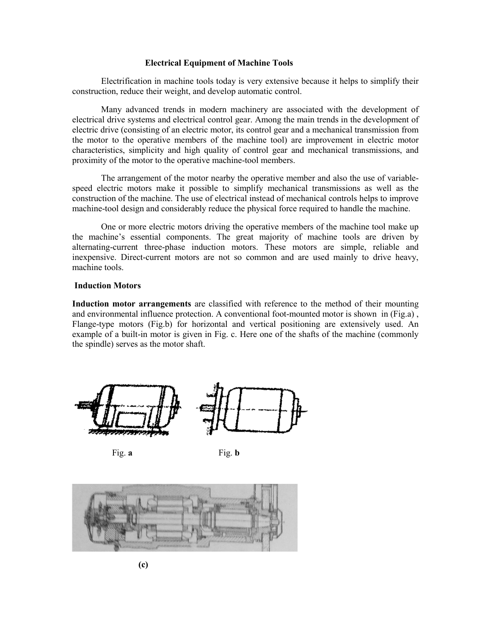#### **Electrical Equipment of Machine Tools**

Electrification in machine tools today is very extensive because it helps to simplify their construction, reduce their weight, and develop automatic control.

Many advanced trends in modern machinery are associated with the development of electrical drive systems and electrical control gear. Among the main trends in the development of electric drive (consisting of an electric motor, its control gear and a mechanical transmission from the motor to the operative members of the machine tool) are improvement in electric motor characteristics, simplicity and high quality of control gear and mechanical transmissions, and proximity of the motor to the operative machine-tool members.

The arrangement of the motor nearby the operative member and also the use of variablespeed electric motors make it possible to simplify mechanical transmissions as well as the construction of the machine. The use of electrical instead of mechanical controls helps to improve machine-tool design and considerably reduce the physical force required to handle the machine.

One or more electric motors driving the operative members of the machine tool make up the machine's essential components. The great majority of machine tools are driven by alternating-current three-phase induction motors. These motors are simple, reliable and inexpensive. Direct-current motors are not so common and are used mainly to drive heavy, machine tools.

### **Induction Motors**

**Induction motor arrangements** are classified with reference to the method of their mounting and environmental influence protection. A conventional foot-mounted motor is shown in (Fig.a) , Flange-type motors (Fig.b) for horizontal and vertical positioning are extensively used. An example of a built-in motor is given in Fig. c. Here one of the shafts of the machine (commonly the spindle) serves as the motor shaft.





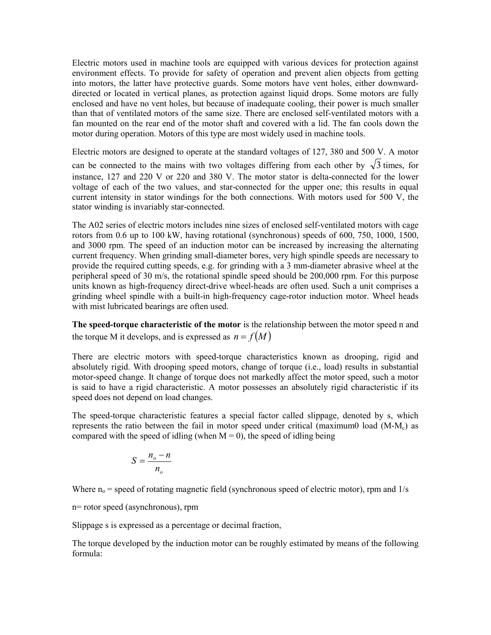Electric motors used in machine tools are equipped with various devices for protection against environment effects. To provide for safety of operation and prevent alien objects from getting into motors, the latter have protective guards. Some motors have vent holes, either downwarddirected or located in vertical planes, as protection against liquid drops. Some motors are fully enclosed and have no vent holes, but because of inadequate cooling, their power is much smaller than that of ventilated motors of the same size. There are enclosed self-ventilated motors with a fan mounted on the rear end of the motor shaft and covered with a lid. The fan cools down the motor during operation. Motors of this type are most widely used in machine tools.

Electric motors are designed to operate at the standard voltages of 127, 380 and 500 V. A motor can be connected to the mains with two voltages differing from each other by  $\sqrt{3}$  times, for instance, 127 and 220 V or 220 and 380 V. The motor stator is delta-connected for the lower voltage of each of the two values, and star-connected for the upper one; this results in equal current intensity in stator windings for the both connections. With motors used for 500 V, the stator winding is invariably star-connected.

The A02 series of electric motors includes nine sizes of enclosed self-ventilated motors with cage rotors from 0.6 up to 100 kW, having rotational (synchronous) speeds of 600, 750, 1000, 1500, and 3000 rpm. The speed of an induction motor can be increased by increasing the alternating current frequency. When grinding small-diameter bores, very high spindle speeds are necessary to provide the required cutting speeds, e.g. for grinding with a 3 mm-diameter abrasive wheel at the peripheral speed of 30 m/s, the rotational spindle speed should be 200,000 rpm. For this purpose units known as high-frequency direct-drive wheel-heads are often used. Such a unit comprises a grinding wheel spindle with a built-in high-frequency cage-rotor induction motor. Wheel heads with mist lubricated bearings are often used.

**The speed-torque characteristic of the motor** is the relationship between the motor speed n and the torque M it develops, and is expressed as  $n = f(M)$ 

There are electric motors with speed-torque characteristics known as drooping, rigid and absolutely rigid. With drooping speed motors, change of torque (i.e., load) results in substantial motor-speed change. It change of torque does not markedly affect the motor speed, such a motor is said to have a rigid characteristic. A motor possesses an absolutely rigid characteristic if its speed does not depend on load changes.

The speed-torque characteristic features a special factor called slippage, denoted by s, which represents the ratio between the fail in motor speed under critical (maximum0 load  $(M-M_c)$ ) as compared with the speed of idling (when  $M = 0$ ), the speed of idling being

$$
S = \frac{n_o - n}{n_o}
$$

Where  $n_0$  = speed of rotating magnetic field (synchronous speed of electric motor), rpm and  $1/s$ 

n= rotor speed (asynchronous), rpm

Slippage s is expressed as a percentage or decimal fraction,

The torque developed by the induction motor can be roughly estimated by means of the following formula: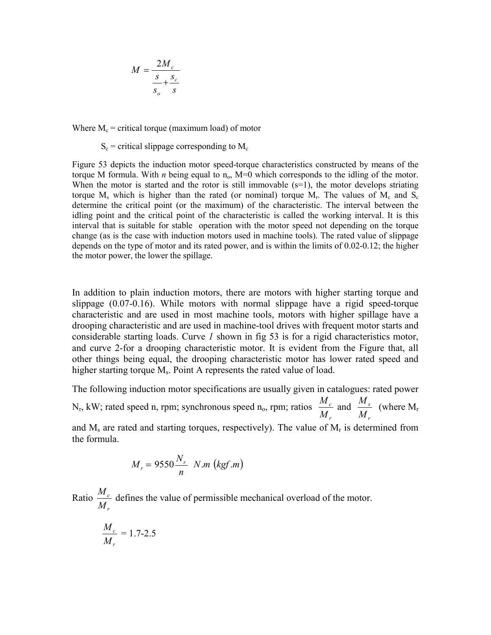$$
M = \frac{2M_c}{\frac{s}{s_o} + \frac{s_c}{s}}
$$

Where  $M_c$  = critical torque (maximum load) of motor

 $S_c$  = critical slippage corresponding to  $M_c$ 

Figure 53 depicts the induction motor speed-torque characteristics constructed by means of the torque M formula. With *n* being equal to  $n_0$ , M=0 which corresponds to the idling of the motor. When the motor is started and the rotor is still immovable  $(s=1)$ , the motor develops striating torque  $M_s$  which is higher than the rated (or nominal) torque  $M_r$ . The values of  $M_c$  and  $S_c$ determine the critical point (or the maximum) of the characteristic. The interval between the idling point and the critical point of the characteristic is called the working interval. It is this interval that is suitable for stable operation with the motor speed not depending on the torque change (as is the case with induction motors used in machine tools). The rated value of slippage depends on the type of motor and its rated power, and is within the limits of 0.02-0.12; the higher the motor power, the lower the spillage.

In addition to plain induction motors, there are motors with higher starting torque and slippage (0.07-0.16). While motors with normal slippage have a rigid speed-torque characteristic and are used in most machine tools, motors with higher spillage have a drooping characteristic and are used in machine-tool drives with frequent motor starts and considerable starting loads. Curve *1* shown in fig 53 is for a rigid characteristics motor, and curve 2-for a drooping characteristic motor. It is evident from the Figure that, all other things being equal, the drooping characteristic motor has lower rated speed and higher starting torque  $M_s$ . Point A represents the rated value of load.

The following induction motor specifications are usually given in catalogues: rated power  $N_r$ , kW; rated speed n, rpm; synchronous speed  $n_o$ , rpm; ratios *r c M*  $\frac{M_c}{M}$  and *r s M*  $\frac{M_s}{M}$  (where M<sub>r</sub> and  $M_s$  are rated and starting torques, respectively). The value of  $M_r$  is determined from the formula.

$$
M_r = 9550 \frac{N_r}{n} \quad N.m \ (kgf.m)
$$

Ratio *r c M*  $\frac{M_c}{M_c}$  defines the value of permissible mechanical overload of the motor.

$$
\frac{M_c}{M_r} = 1.7-2.5
$$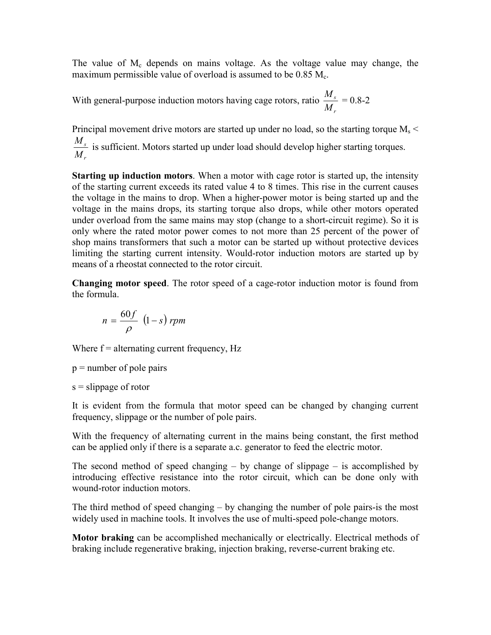The value of  $M_c$  depends on mains voltage. As the voltage value may change, the maximum permissible value of overload is assumed to be  $0.85 M<sub>c</sub>$ .

With general-purpose induction motors having cage rotors, ratio *r s M*  $\frac{M_s}{M}$  = 0.8-2

Principal movement drive motors are started up under no load, so the starting torque  $M_s$ *r s M*  $\frac{M_s}{M_s}$  is sufficient. Motors started up under load should develop higher starting torques.

**Starting up induction motors**. When a motor with cage rotor is started up, the intensity of the starting current exceeds its rated value 4 to 8 times. This rise in the current causes the voltage in the mains to drop. When a higher-power motor is being started up and the voltage in the mains drops, its starting torque also drops, while other motors operated under overload from the same mains may stop (change to a short-circuit regime). So it is only where the rated motor power comes to not more than 25 percent of the power of shop mains transformers that such a motor can be started up without protective devices limiting the starting current intensity. Would-rotor induction motors are started up by means of a rheostat connected to the rotor circuit.

**Changing motor speed**. The rotor speed of a cage-rotor induction motor is found from the formula.

$$
n = \frac{60f}{\rho} \ \left(1 - s\right) \, rpm
$$

Where  $f =$  alternating current frequency,  $Hz$ 

 $p =$  number of pole pairs

 $s =$ slippage of rotor

It is evident from the formula that motor speed can be changed by changing current frequency, slippage or the number of pole pairs.

With the frequency of alternating current in the mains being constant, the first method can be applied only if there is a separate a.c. generator to feed the electric motor.

The second method of speed changing  $-$  by change of slippage  $-$  is accomplished by introducing effective resistance into the rotor circuit, which can be done only with wound-rotor induction motors.

The third method of speed changing – by changing the number of pole pairs-is the most widely used in machine tools. It involves the use of multi-speed pole-change motors.

**Motor braking** can be accomplished mechanically or electrically. Electrical methods of braking include regenerative braking, injection braking, reverse-current braking etc.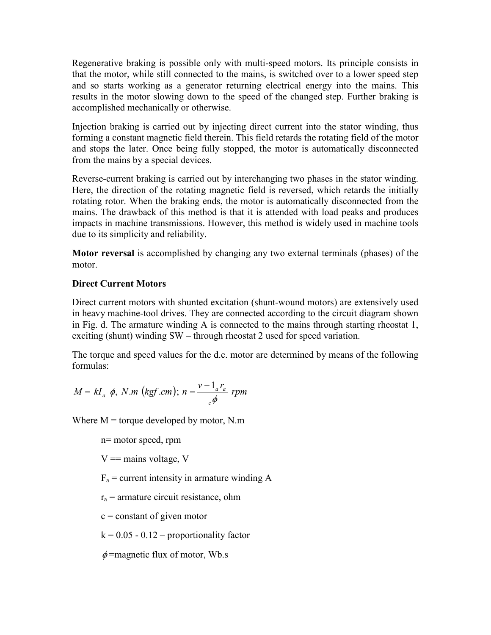Regenerative braking is possible only with multi-speed motors. Its principle consists in that the motor, while still connected to the mains, is switched over to a lower speed step and so starts working as a generator returning electrical energy into the mains. This results in the motor slowing down to the speed of the changed step. Further braking is accomplished mechanically or otherwise.

Injection braking is carried out by injecting direct current into the stator winding, thus forming a constant magnetic field therein. This field retards the rotating field of the motor and stops the later. Once being fully stopped, the motor is automatically disconnected from the mains by a special devices.

Reverse-current braking is carried out by interchanging two phases in the stator winding. Here, the direction of the rotating magnetic field is reversed, which retards the initially rotating rotor. When the braking ends, the motor is automatically disconnected from the mains. The drawback of this method is that it is attended with load peaks and produces impacts in machine transmissions. However, this method is widely used in machine tools due to its simplicity and reliability.

**Motor reversal** is accomplished by changing any two external terminals (phases) of the motor.

# **Direct Current Motors**

Direct current motors with shunted excitation (shunt-wound motors) are extensively used in heavy machine-tool drives. They are connected according to the circuit diagram shown in Fig. d. The armature winding A is connected to the mains through starting rheostat 1, exciting (shunt) winding SW – through rheostat 2 used for speed variation.

The torque and speed values for the d.c. motor are determined by means of the following formulas:

$$
M = kI_a \phi, N.m (kgf.cm); n = \frac{v - l_a r_a}{c \phi} rpm
$$

Where  $M =$  torque developed by motor, N.m.

n= motor speed, rpm

 $V =$  mains voltage, V

 $F_a$  = current intensity in armature winding A

 $r_a$  = armature circuit resistance, ohm

 $c = constant of given motor$ 

 $k = 0.05 - 0.12$  – proportionality factor

 $\phi$ =magnetic flux of motor, Wb.s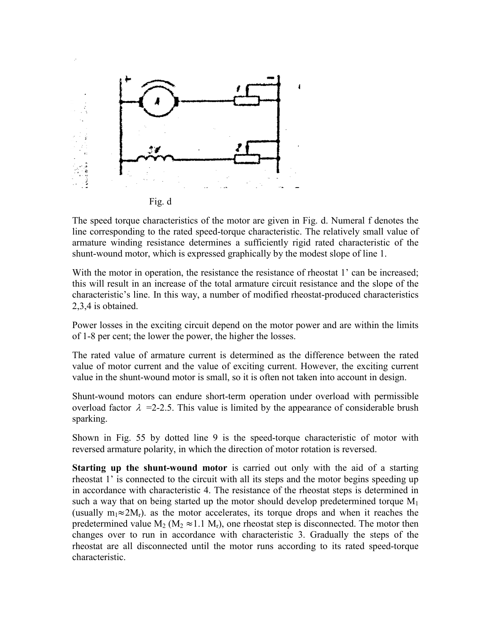

The speed torque characteristics of the motor are given in Fig. d. Numeral f denotes the line corresponding to the rated speed-torque characteristic. The relatively small value of armature winding resistance determines a sufficiently rigid rated characteristic of the shunt-wound motor, which is expressed graphically by the modest slope of line 1.

With the motor in operation, the resistance the resistance of rheostat 1' can be increased; this will result in an increase of the total armature circuit resistance and the slope of the characteristic's line. In this way, a number of modified rheostat-produced characteristics 2,3,4 is obtained.

Power losses in the exciting circuit depend on the motor power and are within the limits of 1-8 per cent; the lower the power, the higher the losses.

The rated value of armature current is determined as the difference between the rated value of motor current and the value of exciting current. However, the exciting current value in the shunt-wound motor is small, so it is often not taken into account in design.

Shunt-wound motors can endure short-term operation under overload with permissible overload factor  $\lambda$  =2-2.5. This value is limited by the appearance of considerable brush sparking.

Shown in Fig. 55 by dotted line 9 is the speed-torque characteristic of motor with reversed armature polarity, in which the direction of motor rotation is reversed.

**Starting up the shunt-wound motor** is carried out only with the aid of a starting rheostat 1' is connected to the circuit with all its steps and the motor begins speeding up in accordance with characteristic 4. The resistance of the rheostat steps is determined in such a way that on being started up the motor should develop predetermined torque  $M_1$ (usually  $m_1 \approx 2M_r$ ), as the motor accelerates, its torque drops and when it reaches the predetermined value  $M_2$  ( $M_2 \approx 1.1$   $M_r$ ), one rheostat step is disconnected. The motor then changes over to run in accordance with characteristic 3. Gradually the steps of the rheostat are all disconnected until the motor runs according to its rated speed-torque characteristic.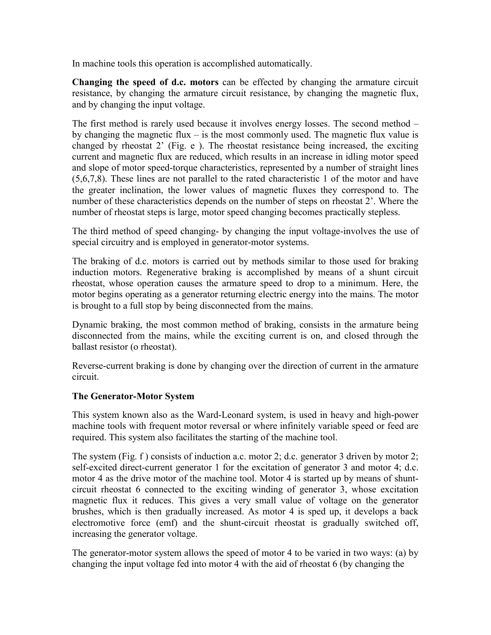In machine tools this operation is accomplished automatically.

**Changing the speed of d.c. motors** can be effected by changing the armature circuit resistance, by changing the armature circuit resistance, by changing the magnetic flux, and by changing the input voltage.

The first method is rarely used because it involves energy losses. The second method – by changing the magnetic flux – is the most commonly used. The magnetic flux value is changed by rheostat 2' (Fig. e ). The rheostat resistance being increased, the exciting current and magnetic flux are reduced, which results in an increase in idling motor speed and slope of motor speed-torque characteristics, represented by a number of straight lines (5,6,7,8). These lines are not parallel to the rated characteristic 1 of the motor and have the greater inclination, the lower values of magnetic fluxes they correspond to. The number of these characteristics depends on the number of steps on rheostat 2'. Where the number of rheostat steps is large, motor speed changing becomes practically stepless.

The third method of speed changing- by changing the input voltage-involves the use of special circuitry and is employed in generator-motor systems.

The braking of d.c. motors is carried out by methods similar to those used for braking induction motors. Regenerative braking is accomplished by means of a shunt circuit rheostat, whose operation causes the armature speed to drop to a minimum. Here, the motor begins operating as a generator returning electric energy into the mains. The motor is brought to a full stop by being disconnected from the mains.

Dynamic braking, the most common method of braking, consists in the armature being disconnected from the mains, while the exciting current is on, and closed through the ballast resistor (o rheostat).

Reverse-current braking is done by changing over the direction of current in the armature circuit.

# **The Generator-Motor System**

This system known also as the Ward-Leonard system, is used in heavy and high-power machine tools with frequent motor reversal or where infinitely variable speed or feed are required. This system also facilitates the starting of the machine tool.

The system (Fig. f) consists of induction a.c. motor 2; d.c. generator 3 driven by motor 2; self-excited direct-current generator 1 for the excitation of generator 3 and motor 4; d.c. motor 4 as the drive motor of the machine tool. Motor 4 is started up by means of shuntcircuit rheostat 6 connected to the exciting winding of generator 3, whose excitation magnetic flux it reduces. This gives a very small value of voltage on the generator brushes, which is then gradually increased. As motor 4 is sped up, it develops a back electromotive force (emf) and the shunt-circuit rheostat is gradually switched off, increasing the generator voltage.

The generator-motor system allows the speed of motor 4 to be varied in two ways: (a) by changing the input voltage fed into motor 4 with the aid of rheostat 6 (by changing the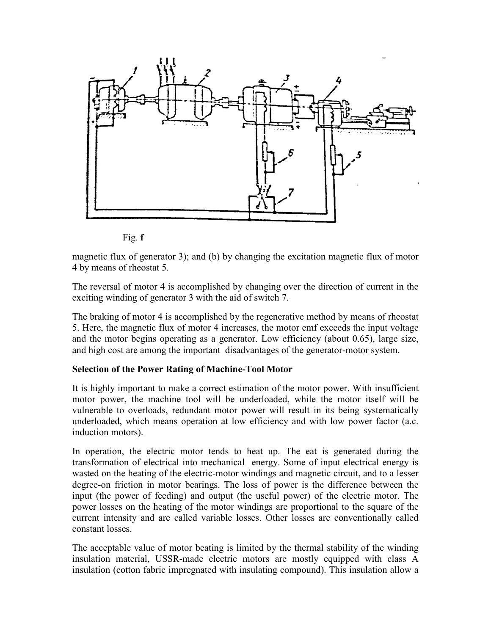

Fig. **f**

magnetic flux of generator 3); and (b) by changing the excitation magnetic flux of motor 4 by means of rheostat 5.

The reversal of motor 4 is accomplished by changing over the direction of current in the exciting winding of generator 3 with the aid of switch 7.

The braking of motor 4 is accomplished by the regenerative method by means of rheostat 5. Here, the magnetic flux of motor 4 increases, the motor emf exceeds the input voltage and the motor begins operating as a generator. Low efficiency (about 0.65), large size, and high cost are among the important disadvantages of the generator-motor system.

### **Selection of the Power Rating of Machine-Tool Motor**

It is highly important to make a correct estimation of the motor power. With insufficient motor power, the machine tool will be underloaded, while the motor itself will be vulnerable to overloads, redundant motor power will result in its being systematically underloaded, which means operation at low efficiency and with low power factor (a.c. induction motors).

In operation, the electric motor tends to heat up. The eat is generated during the transformation of electrical into mechanical energy. Some of input electrical energy is wasted on the heating of the electric-motor windings and magnetic circuit, and to a lesser degree-on friction in motor bearings. The loss of power is the difference between the input (the power of feeding) and output (the useful power) of the electric motor. The power losses on the heating of the motor windings are proportional to the square of the current intensity and are called variable losses. Other losses are conventionally called constant losses.

The acceptable value of motor beating is limited by the thermal stability of the winding insulation material, USSR-made electric motors are mostly equipped with class A insulation (cotton fabric impregnated with insulating compound). This insulation allow a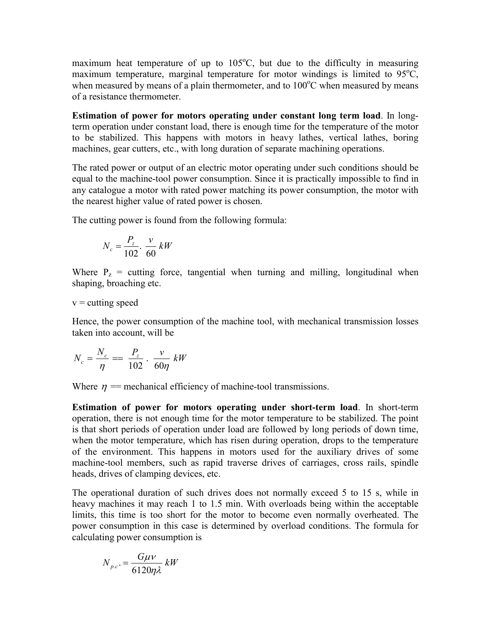maximum heat temperature of up to  $105^{\circ}$ C, but due to the difficulty in measuring maximum temperature, marginal temperature for motor windings is limited to  $95^{\circ}C$ , when measured by means of a plain thermometer, and to 100°C when measured by means of a resistance thermometer.

**Estimation of power for motors operating under constant long term load**. In longterm operation under constant load, there is enough time for the temperature of the motor to be stabilized. This happens with motors in heavy lathes, vertical lathes, boring machines, gear cutters, etc., with long duration of separate machining operations.

The rated power or output of an electric motor operating under such conditions should be equal to the machine-tool power consumption. Since it is practically impossible to find in any catalogue a motor with rated power matching its power consumption, the motor with the nearest higher value of rated power is chosen.

The cutting power is found from the following formula:

$$
N_c = \frac{P_z}{102} \cdot \frac{v}{60} \, kW
$$

Where  $P_z$  = cutting force, tangential when turning and milling, longitudinal when shaping, broaching etc.

### $v =$  cutting speed

Hence, the power consumption of the machine tool, with mechanical transmission losses taken into account, will be

$$
N_c = \frac{N_c}{\eta} = \frac{P_z}{102} \cdot \frac{v}{60\eta} \, kW
$$

Where  $\eta$  = mechanical efficiency of machine-tool transmissions.

**Estimation of power for motors operating under short-term load**. In short-term operation, there is not enough time for the motor temperature to be stabilized. The point is that short periods of operation under load are followed by long periods of down time, when the motor temperature, which has risen during operation, drops to the temperature of the environment. This happens in motors used for the auxiliary drives of some machine-tool members, such as rapid traverse drives of carriages, cross rails, spindle heads, drives of clamping devices, etc.

The operational duration of such drives does not normally exceed 5 to 15 s, while in heavy machines it may reach 1 to 1.5 min. With overloads being within the acceptable limits, this time is too short for the motor to become even normally overheated. The power consumption in this case is determined by overload conditions. The formula for calculating power consumption is

$$
N_{p.c.} = \frac{G\mu\nu}{6120\eta\lambda} \, kW
$$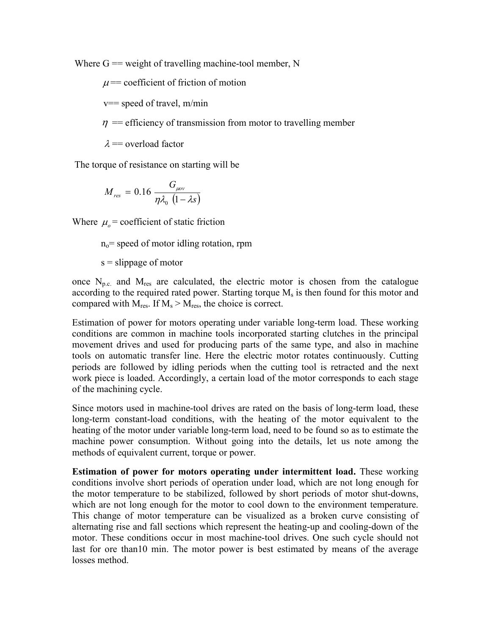Where  $G =$  weight of travelling machine-tool member, N

 $\mu$ = coefficient of friction of motion

 $v==$  speed of travel, m/min

 $\eta$  = efficiency of transmission from motor to travelling member

 $\lambda$  = overload factor

The torque of resistance on starting will be

$$
M_{res}=0.16\,\frac{G_{\mu\sigma\nu}}{\eta\lambda_0\,\left(1-\lambda s\right)}
$$

Where  $\mu_{o}$  = coefficient of static friction

 $n_0$ = speed of motor idling rotation, rpm

 $s =$ slippage of motor

once  $N_{p.c.}$  and  $M_{res}$  are calculated, the electric motor is chosen from the catalogue according to the required rated power. Starting torque  $M<sub>s</sub>$  is then found for this motor and compared with  $M_{res}$ . If  $M_s > M_{res}$ , the choice is correct.

Estimation of power for motors operating under variable long-term load. These working conditions are common in machine tools incorporated starting clutches in the principal movement drives and used for producing parts of the same type, and also in machine tools on automatic transfer line. Here the electric motor rotates continuously. Cutting periods are followed by idling periods when the cutting tool is retracted and the next work piece is loaded. Accordingly, a certain load of the motor corresponds to each stage of the machining cycle.

Since motors used in machine-tool drives are rated on the basis of long-term load, these long-term constant-load conditions, with the heating of the motor equivalent to the heating of the motor under variable long-term load, need to be found so as to estimate the machine power consumption. Without going into the details, let us note among the methods of equivalent current, torque or power.

**Estimation of power for motors operating under intermittent load.** These working conditions involve short periods of operation under load, which are not long enough for the motor temperature to be stabilized, followed by short periods of motor shut-downs, which are not long enough for the motor to cool down to the environment temperature. This change of motor temperature can be visualized as a broken curve consisting of alternating rise and fall sections which represent the heating-up and cooling-down of the motor. These conditions occur in most machine-tool drives. One such cycle should not last for ore than10 min. The motor power is best estimated by means of the average losses method.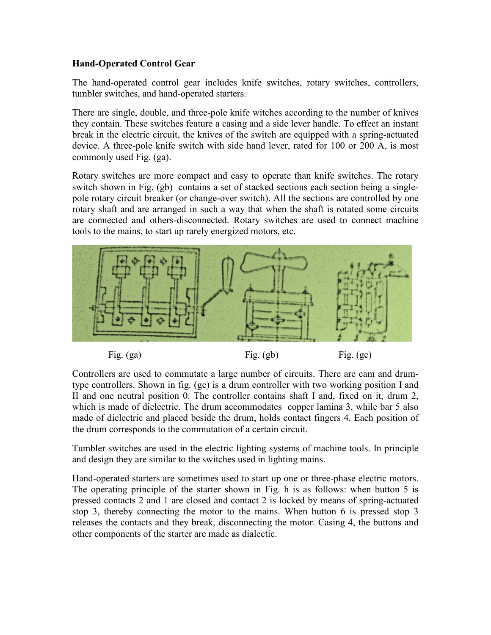# **Hand-Operated Control Gear**

The hand-operated control gear includes knife switches, rotary switches, controllers, tumbler switches, and hand-operated starters.

There are single, double, and three-pole knife witches according to the number of knives they contain. These switches feature a casing and a side lever handle. To effect an instant break in the electric circuit, the knives of the switch are equipped with a spring-actuated device. A three-pole knife switch with side hand lever, rated for 100 or 200 A, is most commonly used Fig. (ga).

Rotary switches are more compact and easy to operate than knife switches. The rotary switch shown in Fig. (gb) contains a set of stacked sections each section being a singlepole rotary circuit breaker (or change-over switch). All the sections are controlled by one rotary shaft and are arranged in such a way that when the shaft is rotated some circuits are connected and others-disconnected. Rotary switches are used to connect machine tools to the mains, to start up rarely energized motors, etc.



Controllers are used to commutate a large number of circuits. There are cam and drumtype controllers. Shown in fig. (gc) is a drum controller with two working position I and II and one neutral position 0. The controller contains shaft I and, fixed on it, drum 2, which is made of dielectric. The drum accommodates copper lamina 3, while bar 5 also made of dielectric and placed beside the drum, holds contact fingers 4. Each position of the drum corresponds to the commutation of a certain circuit.

Tumbler switches are used in the electric lighting systems of machine tools. In principle and design they are similar to the switches used in lighting mains.

Hand-operated starters are sometimes used to start up one or three-phase electric motors. The operating principle of the starter shown in Fig. h is as follows: when button 5 is pressed contacts 2 and 1 are closed and contact 2 is locked by means of spring-actuated stop 3, thereby connecting the motor to the mains. When button 6 is pressed stop 3 releases the contacts and they break, disconnecting the motor. Casing 4, the buttons and other components of the starter are made as dialectic.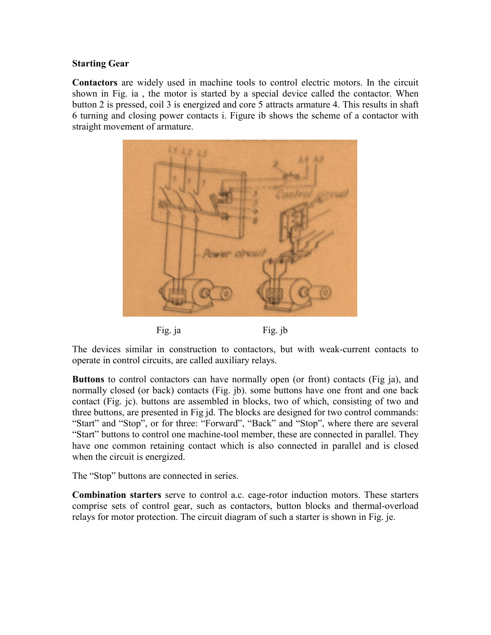### **Starting Gear**

**Contactors** are widely used in machine tools to control electric motors. In the circuit shown in Fig. ia , the motor is started by a special device called the contactor. When button 2 is pressed, coil 3 is energized and core 5 attracts armature 4. This results in shaft 6 turning and closing power contacts i. Figure ib shows the scheme of a contactor with straight movement of armature.



The devices similar in construction to contactors, but with weak-current contacts to operate in control circuits, are called auxiliary relays.

**Buttons** to control contactors can have normally open (or front) contacts (Fig ja), and normally closed (or back) contacts (Fig. jb). some buttons have one front and one back contact (Fig. jc). buttons are assembled in blocks, two of which, consisting of two and three buttons, are presented in Fig jd. The blocks are designed for two control commands: "Start" and "Stop", or for three: "Forward", "Back" and "Stop", where there are several "Start" buttons to control one machine-tool member, these are connected in parallel. They have one common retaining contact which is also connected in parallel and is closed when the circuit is energized.

The "Stop" buttons are connected in series.

**Combination starters** serve to control a.c. cage-rotor induction motors. These starters comprise sets of control gear, such as contactors, button blocks and thermal-overload relays for motor protection. The circuit diagram of such a starter is shown in Fig. je.